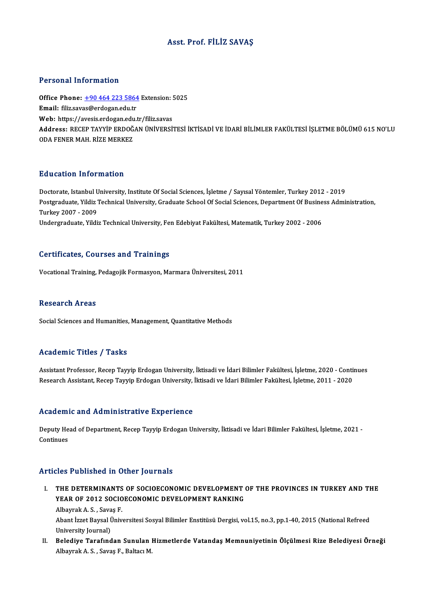### Asst. Prof. FİLİZ SAVAŞ

#### Personal Information

Personal Information<br>Office Phone: <u>+90 464 223 5864</u> Extension: 5025<br>Email: filizerus@ordogan.cdu.tr Procedular Information<br>Office Phone: <u>+90 464 223 5864</u><br>Email: filiz.sav[as@erdogan.edu.tr](tel:+90 464 223 5864) Office Phone: <u>+90 464 223 5864</u> Extension: !<br>Email: filiz.savas@erdogan.edu.tr<br>Web: https://avesis.erdogan.edu.tr/filiz.savas<br>Address. PECEP TAYVIP EPDOČAN ÜNIVERS! Email: filiz.savas@erdogan.edu.tr<br>Web: https://avesis.erdogan.edu.tr/filiz.savas<br>Address: RECEP TAYYİP ERDOĞAN ÜNİVERSİTESİ İKTİSADİ VE İDARİ BİLİMLER FAKÜLTESİ İŞLETME BÖLÜMÜ 615 NO'LU<br>ODA FENER MAH. RİZE MERKEZ Web: https://avesis.erdogan.edu.tr/filiz.savas

#### Education Information

Education Information<br>Doctorate, Istanbul University, Institute Of Social Sciences, İşletme / Sayısal Yöntemler, Turkey 2012 - 2019<br>Postsraduate, Yildir Technical University, Creduate School Of Social Sciences, Department Pulustich Timor Interon<br>Doctorate, Istanbul University, Institute Of Social Sciences, İşletme / Sayısal Yöntemler, Turkey 2012 - 2019<br>Postgraduate, Yildiz Technical University, Graduate School Of Social Sciences, Departmen Doctorate, Istanbul <mark>U</mark><br>Postgraduate, Yildiz<br>Turkey 2007 - 2009<br>Undergraduate, Yildi Postgraduate, Yildiz Technical University, Graduate School Of Social Sciences, Department Of Busine<br>Turkey 2007 - 2009<br>Undergraduate, Yildiz Technical University, Fen Edebiyat Fakültesi, Matematik, Turkey 2002 - 2006 Undergraduate, Yildiz Technical University, Fen Edebiyat Fakültesi, Matematik, Turkey 2002 - 2006<br>Certificates, Courses and Trainings

Vocational Training, Pedagojik Formasyon, Marmara Üniversitesi, 2011

#### Research Areas

Social Sciences and Humanities, Management, Quantitative Methods

#### Academic Titles / Tasks

Assistant Professor, Recep Tayyip Erdogan University, İktisadi ve İdari Bilimler Fakültesi, İşletme, 2020 - Continues Research Assistant, Recep Tayyip Erdogan University, İktisadi ve İdari Bilimler Fakültesi, İşletme, 2011 - 2020

#### Academic and Administrative Experience

Academic and Administrative Experience<br>Deputy Head of Department, Recep Tayyip Erdogan University, İktisadi ve İdari Bilimler Fakültesi, İşletme, 2021 -<br>Centinues Neutrem<br>Deputy He<br>Continues Articles Published in Other Journals

- THE DETERMINANTS OF SOCIOECONOMIC DEVELOPMENT OF THE PROVINCES IN TURKEY AND THE<br>I. THE DETERMINANTS OF SOCIOECONOMIC DEVELOPMENT BANKING THE DETERMINANTS OF SOCIOECONOMIC DEVELOPMENT<br>YEAR OF 2012 SOCIOECONOMIC DEVELOPMENT RANKING<br>Albertal A.S., Savag F. THE DETERMINANTS<br>YEAR OF 2012 SOCIO<br>Albayrak A. S. , Savaş F.<br>Abant İrrat Bayral Üniv YEAR OF 2012 SOCIOECONOMIC DEVELOPMENT RANKING<br>Albayrak A. S. , Savaş F.<br>Abant İzzet Baysal Üniversitesi Sosyal Bilimler Enstitüsü Dergisi, vol.15, no.3, pp.1-40, 2015 (National Refreed<br>University Journal) Albayrak A. S. , Sava<br>Abant İzzet Baysal İ<br>University Journal)<br>Baladiya Tanafınd I . Belediye Tarafından Sunulan Hizmetlerde VatandaşMemnuniyetinin Ölçülmesi Rize Belediyesi Örneği
- Albayrak A. S., Savaş F., Baltacı M.